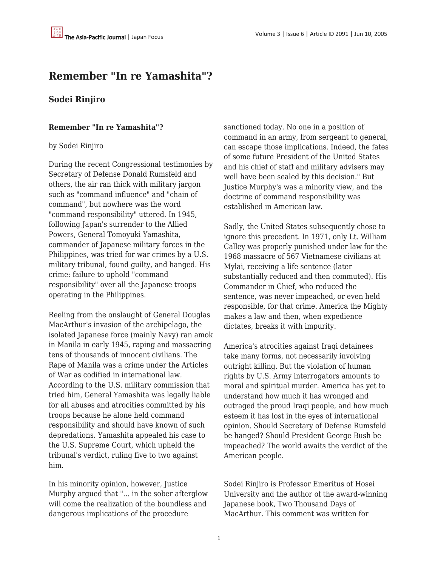## **Remember "In re Yamashita"?**

## **Sodei Rinjiro**

## **Remember "In re Yamashita"?**

## by Sodei Rinjiro

During the recent Congressional testimonies by Secretary of Defense Donald Rumsfeld and others, the air ran thick with military jargon such as "command influence" and "chain of command", but nowhere was the word "command responsibility" uttered. In 1945, following Japan's surrender to the Allied Powers, General Tomoyuki Yamashita, commander of Japanese military forces in the Philippines, was tried for war crimes by a U.S. military tribunal, found guilty, and hanged. His crime: failure to uphold "command responsibility" over all the Japanese troops operating in the Philippines.

Reeling from the onslaught of General Douglas MacArthur's invasion of the archipelago, the isolated Japanese force (mainly Navy) ran amok in Manila in early 1945, raping and massacring tens of thousands of innocent civilians. The Rape of Manila was a crime under the Articles of War as codified in international law. According to the U.S. military commission that tried him, General Yamashita was legally liable for all abuses and atrocities committed by his troops because he alone held command responsibility and should have known of such depredations. Yamashita appealed his case to the U.S. Supreme Court, which upheld the tribunal's verdict, ruling five to two against him.

In his minority opinion, however, Justice Murphy argued that "... in the sober afterglow will come the realization of the boundless and dangerous implications of the procedure

sanctioned today. No one in a position of command in an army, from sergeant to general, can escape those implications. Indeed, the fates of some future President of the United States and his chief of staff and military advisers may well have been sealed by this decision." But Justice Murphy's was a minority view, and the doctrine of command responsibility was established in American law.

Sadly, the United States subsequently chose to ignore this precedent. In 1971, only Lt. William Calley was properly punished under law for the 1968 massacre of 567 Vietnamese civilians at Mylai, receiving a life sentence (later substantially reduced and then commuted). His Commander in Chief, who reduced the sentence, was never impeached, or even held responsible, for that crime. America the Mighty makes a law and then, when expedience dictates, breaks it with impurity.

America's atrocities against Iraqi detainees take many forms, not necessarily involving outright killing. But the violation of human rights by U.S. Army interrogators amounts to moral and spiritual murder. America has yet to understand how much it has wronged and outraged the proud Iraqi people, and how much esteem it has lost in the eyes of international opinion. Should Secretary of Defense Rumsfeld be hanged? Should President George Bush be impeached? The world awaits the verdict of the American people.

Sodei Rinjiro is Professor Emeritus of Hosei University and the author of the award-winning Japanese book, Two Thousand Days of MacArthur. This comment was written for